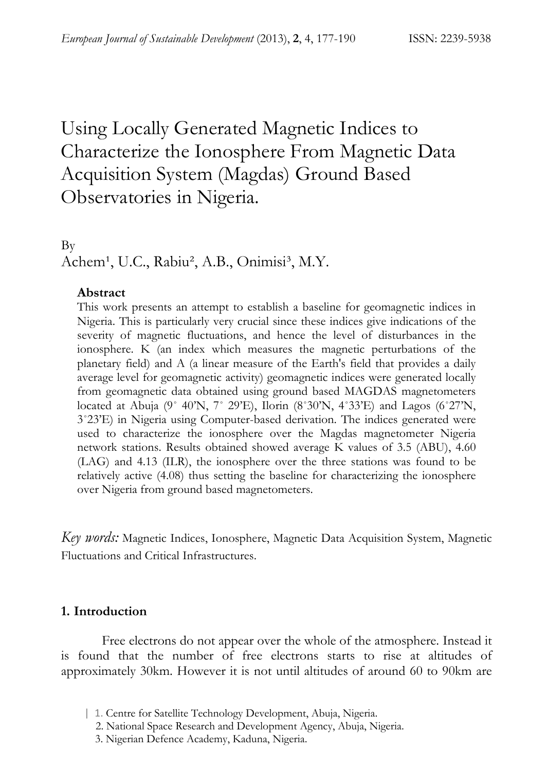# Using Locally Generated Magnetic Indices to Characterize the Ionosphere From Magnetic Data Acquisition System (Magdas) Ground Based Observatories in Nigeria.

By

Achem<sup>1</sup>, U.C., Rabiu<sup>2</sup>, A.B., Onimisi<sup>3</sup>, M.Y.

#### **Abstract**

This work presents an attempt to establish a baseline for geomagnetic indices in Nigeria. This is particularly very crucial since these indices give indications of the severity of magnetic fluctuations, and hence the level of disturbances in the ionosphere. K (an index which measures the magnetic perturbations of the planetary field) and A (a linear measure of the Earth's field that provides a daily average level for geomagnetic activity) geomagnetic indices were generated locally from geomagnetic data obtained using ground based MAGDAS magnetometers located at Abuja (9˚ 40'N, 7˚ 29'E), Ilorin (8˚30'N, 4˚33'E) and Lagos (6˚27'N, 3˚23'E) in Nigeria using Computer-based derivation. The indices generated were used to characterize the ionosphere over the Magdas magnetometer Nigeria network stations. Results obtained showed average K values of 3.5 (ABU), 4.60 (LAG) and 4.13 (ILR), the ionosphere over the three stations was found to be relatively active (4.08) thus setting the baseline for characterizing the ionosphere over Nigeria from ground based magnetometers.

*Key words:* Magnetic Indices, Ionosphere, Magnetic Data Acquisition System, Magnetic Fluctuations and Critical Infrastructures.

## **1. Introduction**

Free electrons do not appear over the whole of the atmosphere. Instead it is found that the number of free electrons starts to rise at altitudes of approximately 30km. However it is not until altitudes of around 60 to 90km are

- | 1. Centre for Satellite Technology Development, Abuja, Nigeria.
	- 2. National Space Research and Development Agency, Abuja, Nigeria.
	- 3. Nigerian Defence Academy, Kaduna, Nigeria.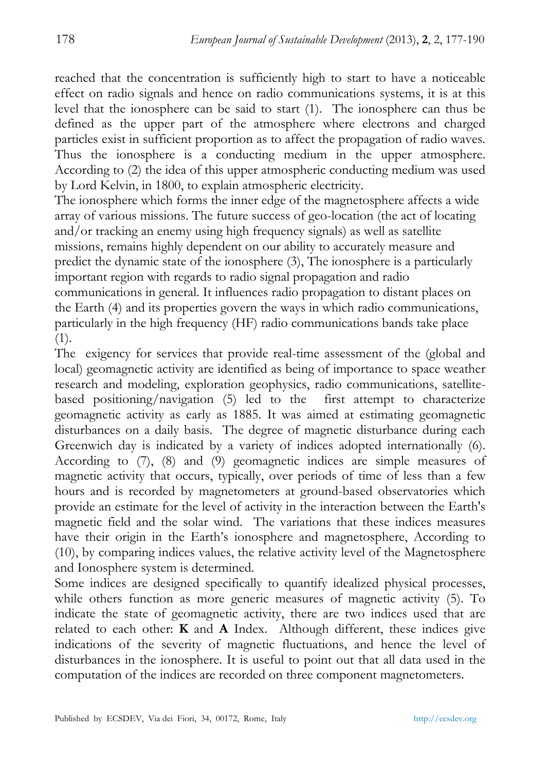reached that the concentration is sufficiently high to start to have a noticeable effect on radio signals and hence on radio communications systems, it is at this level that the ionosphere can be said to start (1). The ionosphere can thus be defined as the upper part of the atmosphere where electrons and charged particles exist in sufficient proportion as to affect the propagation of radio waves. Thus the ionosphere is a conducting medium in the upper atmosphere. According to (2) the idea of this upper atmospheric conducting medium was used by Lord Kelvin, in 1800, to explain atmospheric electricity.

The ionosphere which forms the inner edge of the magnetosphere affects a wide array of various missions. The future success of geo-location (the act of locating and/or tracking an enemy using high frequency signals) as well as satellite missions, remains highly dependent on our ability to accurately measure and predict the dynamic state of the ionosphere (3), The ionosphere is a particularly important region with regards to radio signal propagation and radio communications in general. It influences radio propagation to distant places on the Earth (4) and its properties govern the ways in which radio communications, particularly in the high frequency (HF) radio communications bands take place (1).

The exigency for services that provide real-time assessment of the (global and local) geomagnetic activity are identified as being of importance to space weather research and modeling, exploration geophysics, radio communications, satellitebased positioning/navigation (5) led to the first attempt to characterize geomagnetic activity as early as 1885. It was aimed at estimating geomagnetic disturbances on a daily basis. The degree of magnetic disturbance during each Greenwich day is indicated by a variety of indices adopted internationally (6). According to (7), (8) and (9) geomagnetic indices are simple measures of magnetic activity that occurs, typically, over periods of time of less than a few hours and is recorded by magnetometers at ground-based observatories which provide an estimate for the level of activity in the interaction between the Earth's magnetic field and the solar wind. The variations that these indices measures have their origin in the Earth's ionosphere and magnetosphere, According to (10), by comparing indices values, the relative activity level of the Magnetosphere and Ionosphere system is determined.

Some indices are designed specifically to quantify idealized physical processes, while others function as more generic measures of magnetic activity (5). To indicate the state of geomagnetic activity, there are two indices used that are related to each other: **K** and **A** Index. Although different, these indices give indications of the severity of magnetic fluctuations, and hence the level of disturbances in the ionosphere. It is useful to point out that all data used in the computation of the indices are recorded on three component magnetometers.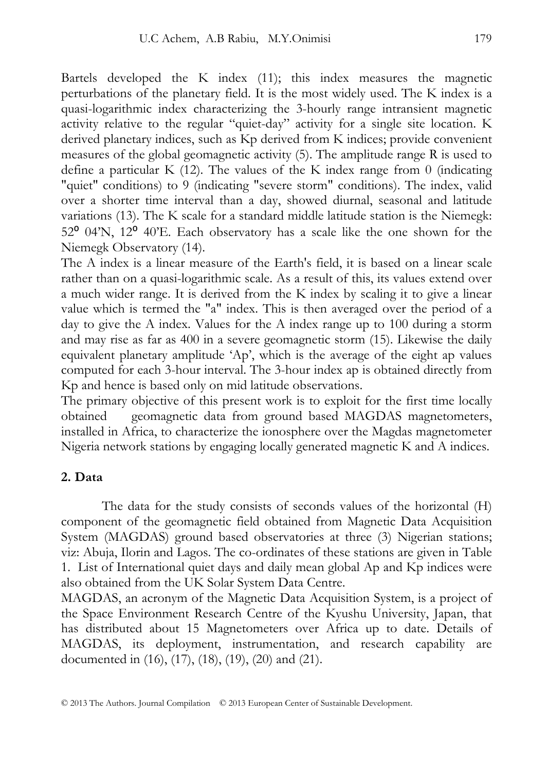Bartels developed the K index (11); this index measures the magnetic perturbations of the planetary field. It is the most widely used. The K index is a quasi-logarithmic index characterizing the 3-hourly range intransient magnetic activity relative to the regular "quiet-day" activity for a single site location. K derived planetary indices, such as Kp derived from K indices; provide convenient measures of the global geomagnetic activity (5). The amplitude range R is used to define a particular K (12). The values of the K index range from 0 (indicating "quiet" conditions) to 9 (indicating "severe storm" conditions). The index, valid over a shorter time interval than a day, showed diurnal, seasonal and latitude variations (13). The K scale for a standard middle latitude station is the Niemegk: 52⁰ 04'N, 12⁰ 40'E. Each observatory has a scale like the one shown for the Niemegk Observatory (14).

The A index is a linear measure of the Earth's field, it is based on a linear scale rather than on a quasi-logarithmic scale. As a result of this, its values extend over a much wider range. It is derived from the K index by scaling it to give a linear value which is termed the "a" index. This is then averaged over the period of a day to give the A index. Values for the A index range up to 100 during a storm and may rise as far as 400 in a severe geomagnetic storm (15). Likewise the daily equivalent planetary amplitude 'Ap', which is the average of the eight ap values computed for each 3-hour interval. The 3-hour index ap is obtained directly from Kp and hence is based only on mid latitude observations.

The primary objective of this present work is to exploit for the first time locally obtained geomagnetic data from ground based MAGDAS magnetometers, installed in Africa, to characterize the ionosphere over the Magdas magnetometer Nigeria network stations by engaging locally generated magnetic K and A indices.

## **2. Data**

The data for the study consists of seconds values of the horizontal (H) component of the geomagnetic field obtained from Magnetic Data Acquisition System (MAGDAS) ground based observatories at three (3) Nigerian stations; viz: Abuja, Ilorin and Lagos. The co-ordinates of these stations are given in Table 1. List of International quiet days and daily mean global Ap and Kp indices were also obtained from the UK Solar System Data Centre.

MAGDAS, an acronym of the Magnetic Data Acquisition System, is a project of the Space Environment Research Centre of the Kyushu University, Japan, that has distributed about 15 Magnetometers over Africa up to date. Details of MAGDAS, its deployment, instrumentation, and research capability are documented in (16), (17), (18), (19), (20) and (21).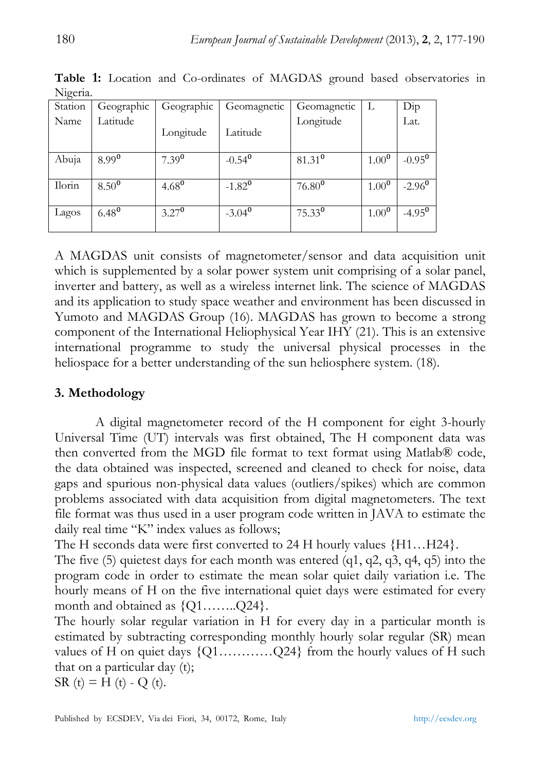| $1$ vigella. |            |            |             |             |            |                        |
|--------------|------------|------------|-------------|-------------|------------|------------------------|
| Station      | Geographic | Geographic | Geomagnetic | Geomagnetic | L          | Dip                    |
| Name         | Latitude   | Longitude  | Latitude    | Longitude   |            | Lat.                   |
| Abuja        | $8.99^{0}$ | $7.39^{0}$ | $-0.54^{0}$ | $81.31^{0}$ | $1.00^{0}$ | $-0.95^{\overline{0}}$ |
| Ilorin       | $8.50^{0}$ | $4.68^{0}$ | $-1.82^{0}$ | $76.80^{0}$ | $1.00^{0}$ | $-2.96^{\circ}$        |
| Lagos        | $6.48^{0}$ | $3.27^{0}$ | $-3.04^{0}$ | $75.33^{0}$ | $1.00^{0}$ | $-4.95^{\overline{0}}$ |

**Table 1:** Location and Co-ordinates of MAGDAS ground based observatories in Nigeria.

A MAGDAS unit consists of magnetometer/sensor and data acquisition unit which is supplemented by a solar power system unit comprising of a solar panel, inverter and battery, as well as a wireless internet link. The science of MAGDAS and its application to study space weather and environment has been discussed in Yumoto and MAGDAS Group (16). MAGDAS has grown to become a strong component of the International Heliophysical Year IHY (21). This is an extensive international programme to study the universal physical processes in the heliospace for a better understanding of the sun heliosphere system. (18).

# **3. Methodology**

A digital magnetometer record of the H component for eight 3-hourly Universal Time (UT) intervals was first obtained, The H component data was then converted from the MGD file format to text format using Matlab® code, the data obtained was inspected, screened and cleaned to check for noise, data gaps and spurious non-physical data values (outliers/spikes) which are common problems associated with data acquisition from digital magnetometers. The text file format was thus used in a user program code written in JAVA to estimate the daily real time "K" index values as follows;

The H seconds data were first converted to 24 H hourly values  ${H1...H24}$ .

The five (5) quietest days for each month was entered (q1, q2, q3, q4, q5) into the program code in order to estimate the mean solar quiet daily variation i.e. The hourly means of H on the five international quiet days were estimated for every month and obtained as  $\{Q1$ ……... $Q24\}$ .

The hourly solar regular variation in H for every day in a particular month is estimated by subtracting corresponding monthly hourly solar regular (SR) mean values of H on quiet days  $\{Q_1, \ldots, Q_{24}\}$  from the hourly values of H such that on a particular day (t); SR  $(t) = H(t) - Q(t)$ .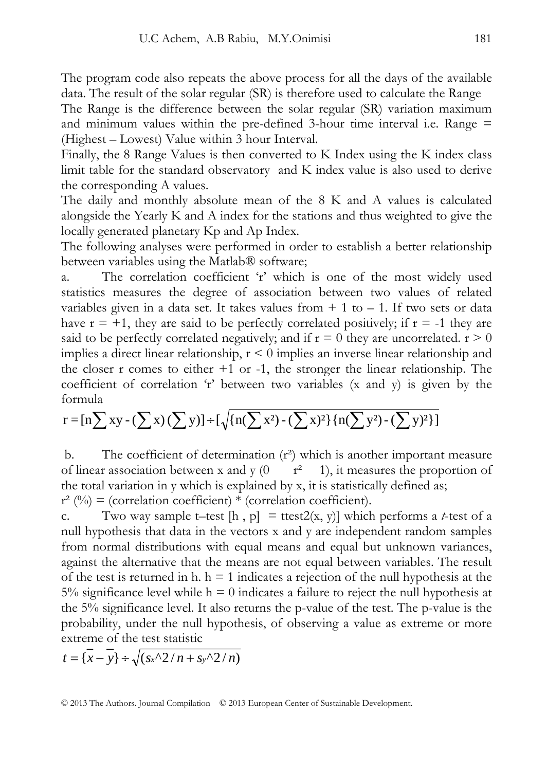The program code also repeats the above process for all the days of the available data. The result of the solar regular (SR) is therefore used to calculate the Range

The Range is the difference between the solar regular (SR) variation maximum and minimum values within the pre-defined 3-hour time interval i.e. Range = (Highest – Lowest) Value within 3 hour Interval.

Finally, the 8 Range Values is then converted to K Index using the K index class limit table for the standard observatory and K index value is also used to derive the corresponding A values.

The daily and monthly absolute mean of the 8 K and A values is calculated alongside the Yearly K and A index for the stations and thus weighted to give the locally generated planetary Kp and Ap Index.

The following analyses were performed in order to establish a better relationship between variables using the Matlab® software;

a. The correlation coefficient 'r' which is one of the most widely used statistics measures the degree of association between two values of related variables given in a data set. It takes values from  $+ 1$  to  $- 1$ . If two sets or data have  $r = +1$ , they are said to be perfectly correlated positively; if  $r = -1$  they are said to be perfectly correlated negatively; and if  $r = 0$  they are uncorrelated.  $r > 0$ implies a direct linear relationship,  $r < 0$  implies an inverse linear relationship and the closer r comes to either  $+1$  or  $-1$ , the stronger the linear relationship. The coefficient of correlation 'r' between two variables (x and y) is given by the formula

$$
r = [n \sum xy - (\sum x)(\sum y)] + [\sqrt{\{n(\sum x^2) - (\sum x)^2\}\{n(\sum y^2) - (\sum y)^2\}]}
$$

b. The coefficient of determination  $(r^2)$  which is another important measure of linear association between x and y  $(0 \t r^2 \t 1)$ , it measures the proportion of the total variation in y which is explained by x, it is statistically defined as;  $r^{2}$  (%) = (correlation coefficient) \* (correlation coefficient).

c. Two way sample t–test  $[h, p] = \text{ttest2}(x, y)$  which performs a *t*-test of a null hypothesis that data in the vectors x and y are independent random samples from normal distributions with equal means and equal but unknown variances, against the alternative that the means are not equal between variables. The result of the test is returned in h.  $h = 1$  indicates a rejection of the null hypothesis at the 5% significance level while  $h = 0$  indicates a failure to reject the null hypothesis at the 5% significance level. It also returns the p-value of the test. The p-value is the probability, under the null hypothesis, of observing a value as extreme or more extreme of the test statistic

$$
t = \overline{\{x-y\}} \div \sqrt{\left(s_x\sqrt{2}/n + s_y\sqrt{2}/n\right)}
$$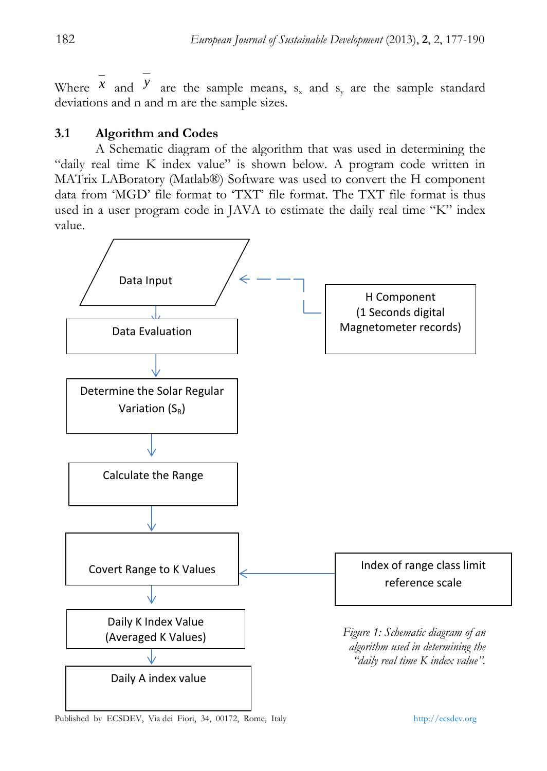Where  $\overline{x}$  and  $\overline{y}$  are the sample means,  $s_x$  and  $s_y$  are the sample standard deviations and n and m are the sample sizes.

# **3.1 Algorithm and Codes**

 A Schematic diagram of the algorithm that was used in determining the "daily real time K index value" is shown below. A program code written in MATrix LABoratory (Matlab®) Software was used to convert the H component data from 'MGD' file format to 'TXT' file format. The TXT file format is thus used in a user program code in JAVA to estimate the daily real time "K" index value.



Published by ECSDEV, Via dei Fiori, 34, 00172, Rome, Italy http://ecsdev.org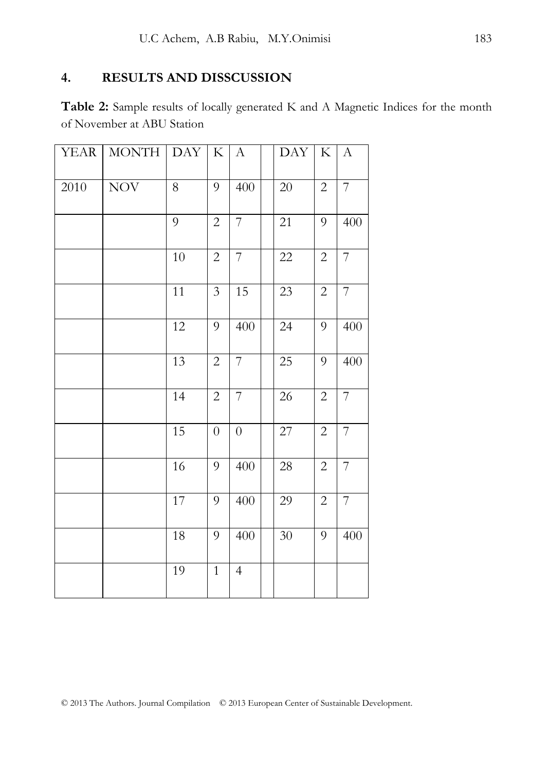# **4. RESULTS AND DISSCUSSION**

**Table 2:** Sample results of locally generated K and A Magnetic Indices for the month of November at ABU Station

| <b>YEAR</b> | <b>MONTH</b> | <b>DAY</b> | $\rm K$          | $\mathbf{A}$   | <b>DAY</b> | K              | $\boldsymbol{A}$ |
|-------------|--------------|------------|------------------|----------------|------------|----------------|------------------|
| 2010        | <b>NOV</b>   | 8          | 9                | 400            | 20         | $\overline{2}$ | $\overline{7}$   |
|             |              | 9          | $\mathbf{2}$     | $\overline{7}$ | 21         | 9              | 400              |
|             |              | 10         | $\overline{c}$   | $\overline{7}$ | $22\,$     | $\overline{c}$ | $\overline{7}$   |
|             |              | 11         | 3                | 15             | 23         | $\overline{2}$ | $\overline{7}$   |
|             |              | 12         | 9                | 400            | 24         | 9              | 400              |
|             |              | 13         | $\overline{c}$   | $\overline{7}$ | 25         | 9              | 400              |
|             |              | 14         | $\overline{c}$   | $\overline{7}$ | 26         | $\mathbf{2}$   | $\boldsymbol{7}$ |
|             |              | 15         | $\boldsymbol{0}$ | $\overline{0}$ | 27         | $\overline{2}$ | $\overline{7}$   |
|             |              | 16         | 9                | 400            | 28         | $\overline{c}$ | $\overline{7}$   |
|             |              | 17         | 9                | 400            | 29         | $\mathbf{2}$   | $\overline{7}$   |
|             |              | 18         | 9                | 400            | 30         | 9              | 400              |
|             |              | 19         | $\mathbf{1}$     | $\overline{4}$ |            |                |                  |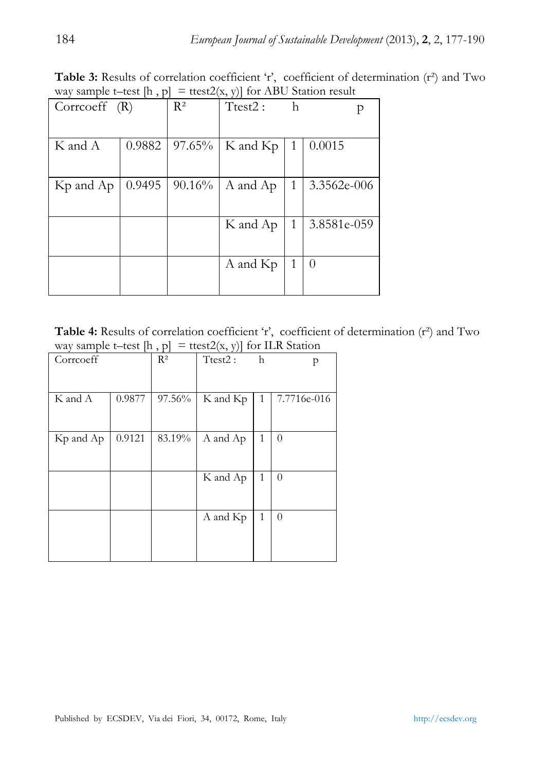Table 3: Results of correlation coefficient 'r', coefficient of determination (r<sup>2</sup>) and Two way sample t–test  $[h, p] = \text{ttest2}(x, y)$  for ABU Station result

| $\overline{ }$<br>, , , ,    |        |           |          |    |             |  |  |  |
|------------------------------|--------|-----------|----------|----|-------------|--|--|--|
| $\text{Correct}(\mathbb{R})$ |        | $R^2$     | Ttest2:  | h. |             |  |  |  |
|                              |        |           |          |    |             |  |  |  |
| K and A                      | 0.9882 | $97.65\%$ | K and Kp | 1  | 0.0015      |  |  |  |
|                              |        |           |          |    |             |  |  |  |
| Kp and Ap                    | 0.9495 | $90.16\%$ | A and Ap | 1  | 3.3562e-006 |  |  |  |
|                              |        |           |          |    |             |  |  |  |
|                              |        |           | K and Ap | 1  | 3.8581e-059 |  |  |  |
|                              |        |           |          |    |             |  |  |  |
|                              |        |           | A and Kp | 1  | $\theta$    |  |  |  |
|                              |        |           |          |    |             |  |  |  |

Table 4: Results of correlation coefficient 'r', coefficient of determination (r<sup>2</sup>) and Two way sample t–test  $[h, p] = \text{ttest2}(x, y)$  for ILR Station

| Corrcoeff |        | $R^2$  | .<br>Ttest2: | h | p           |
|-----------|--------|--------|--------------|---|-------------|
| K and A   | 0.9877 | 97.56% | K and Kp     | 1 | 7.7716e-016 |
| Kp and Ap | 0.9121 | 83.19% | A and Ap     | 1 | $\theta$    |
|           |        |        | K and Ap     | 1 | $\theta$    |
|           |        |        | A and Kp     | 1 | $\theta$    |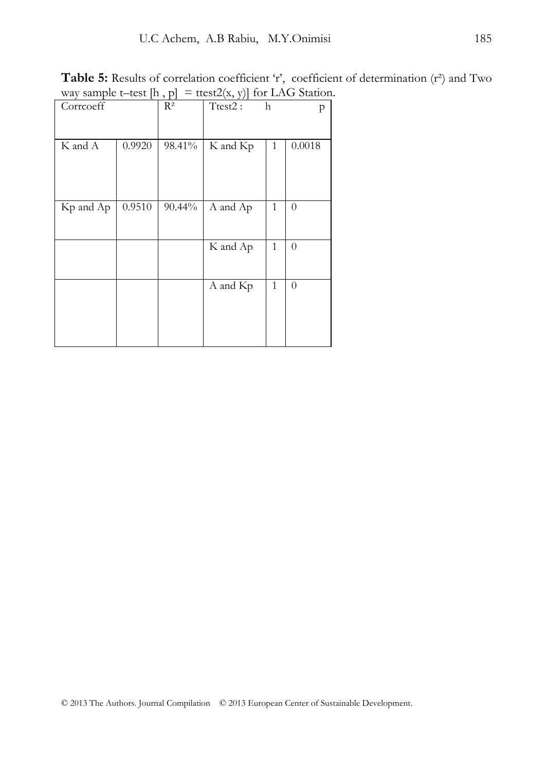Table 5: Results of correlation coefficient 'r', coefficient of determination (r<sup>2</sup>) and Two way sample t–test  $[h, p] = \text{ttest2}(x, y)$  for LAG Station.

| Corrcoeff |        | $R^2$  | Ttest2:  | $\mathbf h$  | p        |
|-----------|--------|--------|----------|--------------|----------|
|           |        |        |          |              |          |
|           |        |        |          |              |          |
|           |        |        |          |              |          |
| K and A   | 0.9920 | 98.41% | K and Kp | 1            | 0.0018   |
|           |        |        |          |              |          |
|           |        |        |          |              |          |
|           |        |        |          |              |          |
|           |        |        |          |              |          |
|           |        |        |          |              |          |
| Kp and Ap | 0.9510 | 90.44% | A and Ap | $\mathbf{1}$ | $\theta$ |
|           |        |        |          |              |          |
|           |        |        |          |              |          |
|           |        |        |          |              |          |
|           |        |        | K and Ap | $\mathbf{1}$ | $\theta$ |
|           |        |        |          |              |          |
|           |        |        |          |              |          |
|           |        |        |          |              |          |
|           |        |        | A and Kp | $\mathbf{1}$ | $\theta$ |
|           |        |        |          |              |          |
|           |        |        |          |              |          |
|           |        |        |          |              |          |
|           |        |        |          |              |          |
|           |        |        |          |              |          |
|           |        |        |          |              |          |
|           |        |        |          |              |          |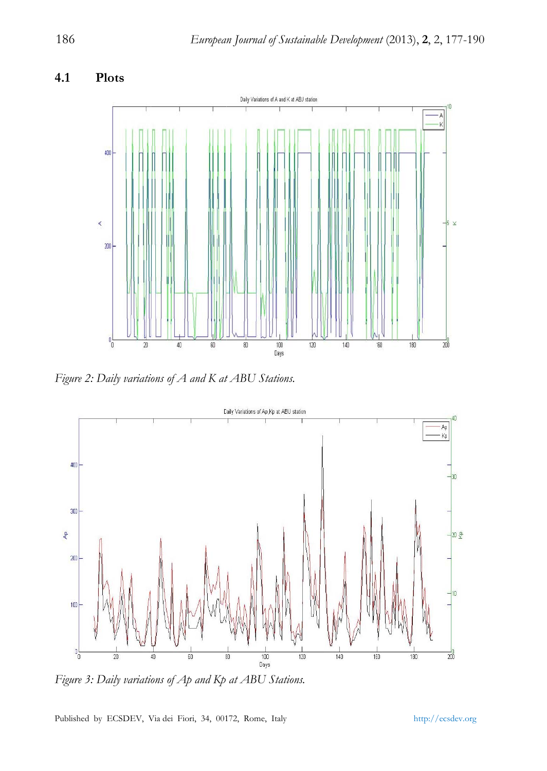#### **4.1 Plots**



*Figure 2: Daily variations of A and K at ABU Stations.* 



Figure 3: Daily variations of Ap and Kp at ABU Stations.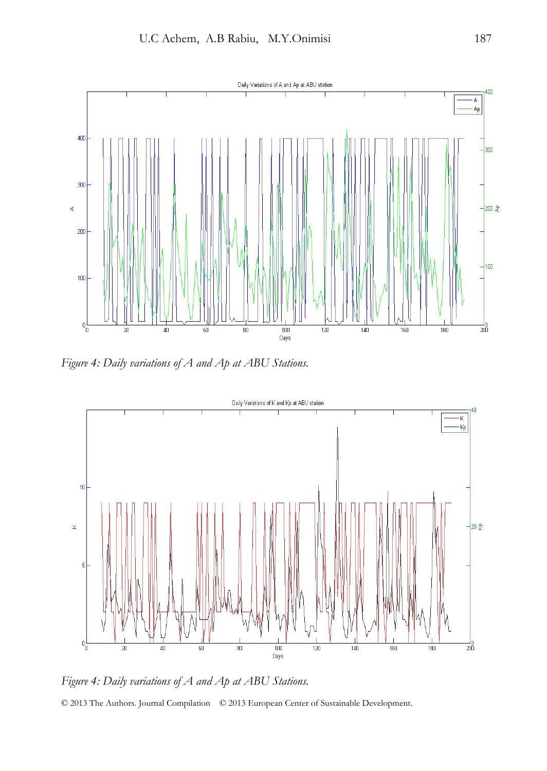

*Figure 4: Daily variations of A and Ap at ABU Stations.* 



© 2013 The Authors. Journal Compilation © 2013 European Center of Sustainable Development. *Figure 4: Daily variations of A and Ap at ABU Stations.*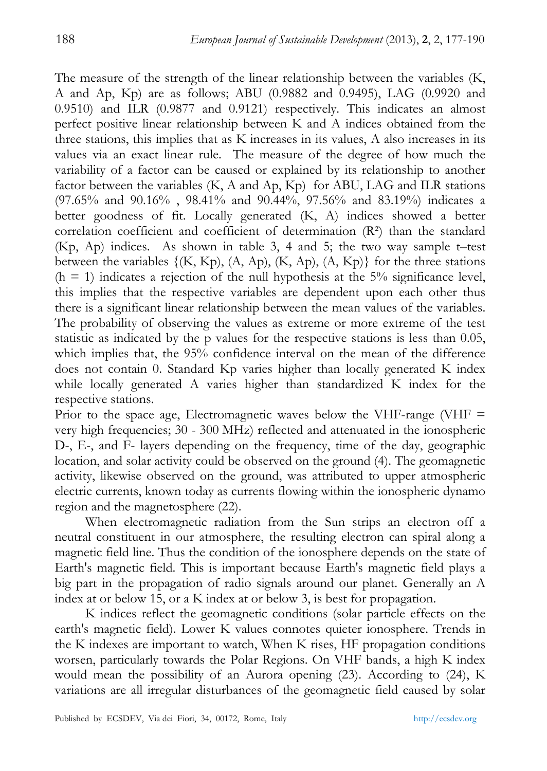The measure of the strength of the linear relationship between the variables (K, A and Ap, Kp) are as follows; ABU (0.9882 and 0.9495), LAG (0.9920 and 0.9510) and ILR (0.9877 and 0.9121) respectively. This indicates an almost perfect positive linear relationship between K and A indices obtained from the three stations, this implies that as K increases in its values, A also increases in its values via an exact linear rule. The measure of the degree of how much the variability of a factor can be caused or explained by its relationship to another factor between the variables (K, A and Ap, Kp) for ABU, LAG and ILR stations (97.65% and 90.16% , 98.41% and 90.44%, 97.56% and 83.19%) indicates a better goodness of fit. Locally generated (K, A) indices showed a better correlation coefficient and coefficient of determination (R²) than the standard (Kp, Ap) indices. As shown in table 3, 4 and 5; the two way sample t–test between the variables  $\{ (K, Kp), (A, Ap), (K, Ap), (A, Kp) \}$  for the three stations  $(h = 1)$  indicates a rejection of the null hypothesis at the 5% significance level, this implies that the respective variables are dependent upon each other thus there is a significant linear relationship between the mean values of the variables. The probability of observing the values as extreme or more extreme of the test statistic as indicated by the p values for the respective stations is less than 0.05, which implies that, the 95% confidence interval on the mean of the difference does not contain 0. Standard Kp varies higher than locally generated K index while locally generated A varies higher than standardized K index for the respective stations.

Prior to the space age, Electromagnetic waves below the VHF-range (VHF  $=$ very high frequencies; 30 - 300 MHz) reflected and attenuated in the ionospheric D-, E-, and F- layers depending on the frequency, time of the day, geographic location, and solar activity could be observed on the ground (4). The geomagnetic activity, likewise observed on the ground, was attributed to upper atmospheric electric currents, known today as currents flowing within the ionospheric dynamo region and the magnetosphere (22).

When electromagnetic radiation from the Sun strips an electron off a neutral constituent in our atmosphere, the resulting electron can spiral along a magnetic field line. Thus the condition of the ionosphere depends on the state of Earth's magnetic field. This is important because Earth's magnetic field plays a big part in the propagation of radio signals around our planet. Generally an A index at or below 15, or a K index at or below 3, is best for propagation.

K indices reflect the geomagnetic conditions (solar particle effects on the earth's magnetic field). Lower K values connotes quieter ionosphere. Trends in the K indexes are important to watch, When K rises, HF propagation conditions worsen, particularly towards the Polar Regions. On VHF bands, a high K index would mean the possibility of an Aurora opening (23). According to (24), K variations are all irregular disturbances of the geomagnetic field caused by solar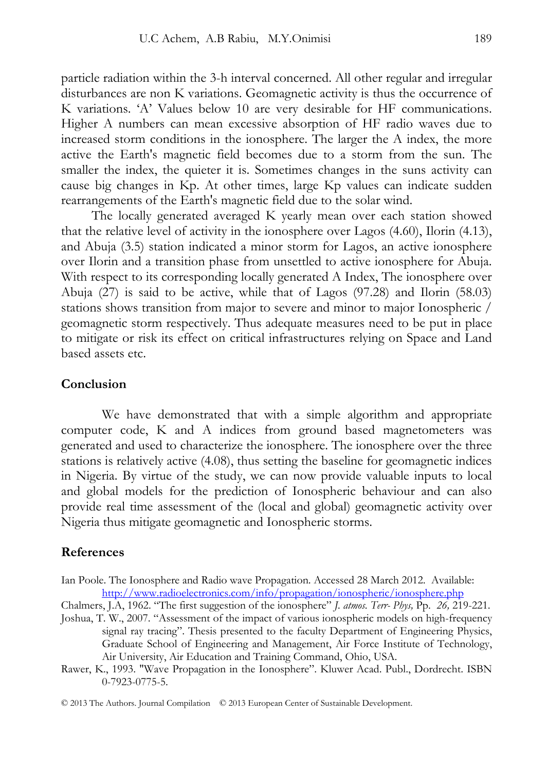particle radiation within the 3-h interval concerned. All other regular and irregular disturbances are non K variations. Geomagnetic activity is thus the occurrence of K variations. 'A' Values below 10 are very desirable for HF communications. Higher A numbers can mean excessive absorption of HF radio waves due to increased storm conditions in the ionosphere. The larger the A index, the more active the Earth's magnetic field becomes due to a storm from the sun. The smaller the index, the quieter it is. Sometimes changes in the suns activity can cause big changes in Kp. At other times, large Kp values can indicate sudden rearrangements of the Earth's magnetic field due to the solar wind.

The locally generated averaged K yearly mean over each station showed that the relative level of activity in the ionosphere over Lagos (4.60), Ilorin (4.13), and Abuja (3.5) station indicated a minor storm for Lagos, an active ionosphere over Ilorin and a transition phase from unsettled to active ionosphere for Abuja. With respect to its corresponding locally generated A Index, The ionosphere over Abuja (27) is said to be active, while that of Lagos (97.28) and Ilorin (58.03) stations shows transition from major to severe and minor to major Ionospheric / geomagnetic storm respectively. Thus adequate measures need to be put in place to mitigate or risk its effect on critical infrastructures relying on Space and Land based assets etc.

# **Conclusion**

We have demonstrated that with a simple algorithm and appropriate computer code, K and A indices from ground based magnetometers was generated and used to characterize the ionosphere. The ionosphere over the three stations is relatively active (4.08), thus setting the baseline for geomagnetic indices in Nigeria. By virtue of the study, we can now provide valuable inputs to local and global models for the prediction of Ionospheric behaviour and can also provide real time assessment of the (local and global) geomagnetic activity over Nigeria thus mitigate geomagnetic and Ionospheric storms.

#### **References**

Ian Poole. The Ionosphere and Radio wave Propagation. Accessed 28 March 2012.Available: http://www.radioelectronics.com/info/propagation/ionospheric/ionosphere.php

Chalmers, J.A, 1962. "The first suggestion of the ionosphere" *J. atmos. Terr- Phys,* Pp. *26,* 219-221. Joshua, T. W., 2007. "Assessment of the impact of various ionospheric models on high-frequency

signal ray tracing". Thesis presented to the faculty Department of Engineering Physics, Graduate School of Engineering and Management, Air Force Institute of Technology, Air University, Air Education and Training Command, Ohio, USA.

Rawer, K., 1993. "Wave Propagation in the Ionosphere". Kluwer Acad. Publ., Dordrecht. ISBN 0-7923-0775-5.

© 2013 The Authors. Journal Compilation © 2013 European Center of Sustainable Development.